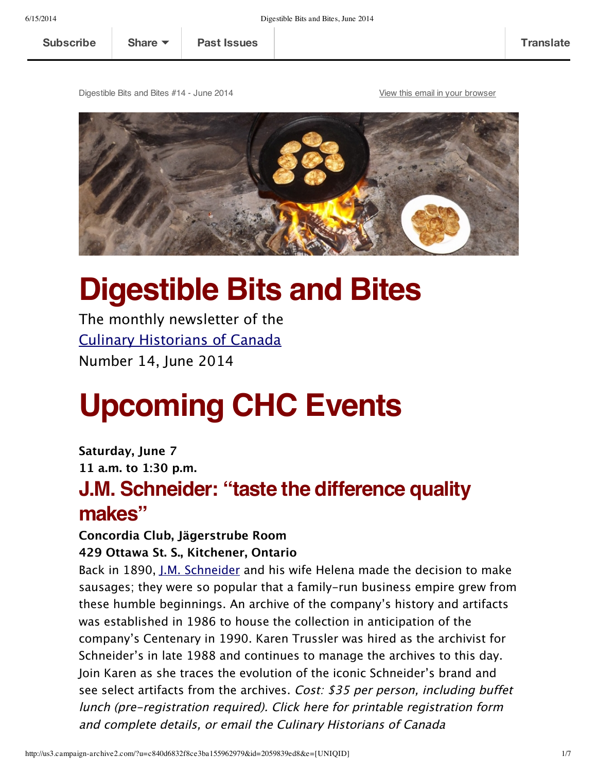Digestible Bits and Bites #14 - June 2014 View this email in your [browser](http://us3.campaign-archive1.com/?u=c840d6832f8ce3ba155962979&id=2059839ed8&e=[UNIQID])



# **Digestible Bits and Bites**

The monthly newsletter of the Culinary [Historians](http://culinaryhistorians.ca/) of Canada Number 14, June 2014

# **Upcoming CHC Events**

**Saturday, June 7 11 a.m. to 1:30 p.m. J.M. Schneider: "taste the difference quality makes"**

# **Concordia Club, Jägerstrube Room**

#### **429 Ottawa St. S., Kitchener, Ontario**

Back in 1890, J.M. [Schneider](http://www.schneiders.ca/EN/Pages/home.aspx) and his wife Helena made the decision to make sausages; they were so popular that a family–run business empire grew from these humble beginnings. An archive of the company's history and artifacts was established in 1986 to house the collection in anticipation of the company's Centenary in 1990. Karen Trussler was hired as the archivist for Schneider's in late 1988 and continues to manage the archives to this day. Join Karen as she traces the evolution of the iconic Schneider's brand and see select artifacts from the archives. Cost: \$35 per person, including buffet lunch (pre‑registration required). Click here for printable registration form and complete details, or email the Culinary Historians of Canada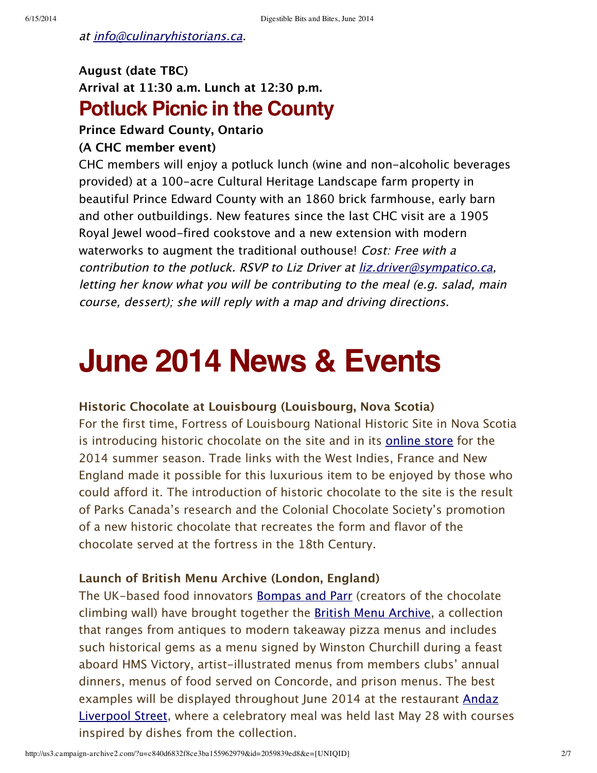at [info@culinaryhistorians.ca](mailto:info@culinaryhistorians.ca?subject=Schneider%20Event%20Information%20Request).

# **August (date TBC) Arrival at 11:30 a.m. Lunch at 12:30 p.m. Potluck Picnic in the County**

#### **Prince Edward County, Ontario**

#### **(A CHC member event)**

CHC members will enjoy a potluck lunch (wine and non‑alcoholic beverages provided) at a 100‑acre Cultural Heritage Landscape farm property in beautiful Prince Edward County with an 1860 brick farmhouse, early barn and other outbuildings. New features since the last CHC visit are a 1905 Royal Jewel wood-fired cookstove and a new extension with modern waterworks to augment the traditional outhouse! Cost: Free with a contribution to the potluck. RSVP to Liz Driver at <u>[liz.driver@sympatico.ca](mailto:liz.driver@sympatico.ca?subject=RSVP%20to%20the%20Potluck%20in%20the%20County)</u>, letting her know what you will be contributing to the meal (e.g. salad, main course, dessert); she will reply with <sup>a</sup> map and driving directions.

# **June 2014 News & Events**

#### **Historic Chocolate at Louisbourg (Louisbourg, Nova Scotia)**

For the first time, Fortress of Louisbourg National Historic Site in Nova Scotia is introducing historic chocolate on the site and in its [online](http://www.fortressoflouisbourg.ca/store.php) store for the 2014 summer season. Trade links with the West Indies, France and New England made it possible for this luxurious item to be enjoyed by those who could afford it. The introduction of historic chocolate to the site is the result of Parks Canada's research and the Colonial Chocolate Society's promotion of a new historic chocolate that recreates the form and flavor of the chocolate served at the fortress in the 18th Century.

#### **Launch of British Menu Archive (London, England)**

The UK-based food innovators [Bompas](http://bompasandparr.com/) and Parr (creators of the chocolate climbing wall) have brought together the British Menu [Archive,](http://www.britishmenuarchive.com/) a collection that ranges from antiques to modern takeaway pizza menus and includes such historical gems as a menu signed by Winston Churchill during a feast aboard HMS Victory, artist-illustrated menus from members clubs' annual dinners, menus of food served on Concorde, and prison menus. The best examples will be displayed [throughout](http://andazdining.com/) June 2014 at the restaurant Andaz Liverpool Street, where a celebratory meal was held last May 28 with courses inspired by dishes from the collection.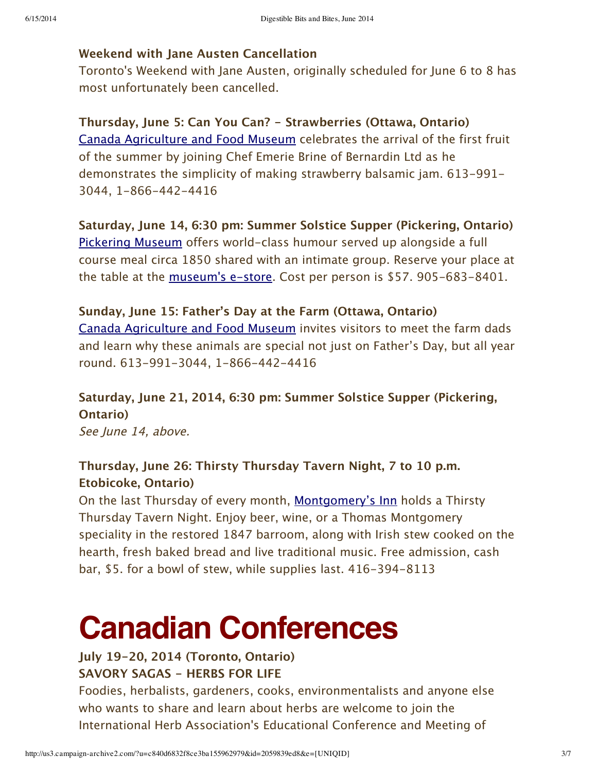#### **Weekend with Jane Austen Cancellation**

Toronto's Weekend with Jane Austen, originally scheduled for June 6 to 8 has most unfortunately been cancelled.

**Thursday, June 5: Can You Can? ‑ Strawberries (Ottawa, Ontario)** Canada [Agriculture](http://cafmuseum.techno-science.ca/en/whats-on/upcoming-special-events.php) and Food Museum celebrates the arrival of the first fruit of the summer by joining Chef Emerie Brine of Bernardin Ltd as he demonstrates the simplicity of making strawberry balsamic jam. 613–991– 3044, 1‑866‑442‑4416

**Saturday, June 14, 6:30 pm: Summer Solstice Supper (Pickering, Ontario)** [Pickering](http://pickering.ca/museum) Museum offers world-class humour served up alongside a full course meal circa 1850 shared with an intimate group. Reserve your place at the table at the [museum's](http://pickering.ca/eStore) e-store. Cost per person is \$57. 905-683-8401.

#### **Sunday, June 15: Father's Day at the Farm (Ottawa, Ontario)**

Canada [Agriculture](http://cafmuseum.techno-science.ca/en/whats-on/upcoming-special-events.php) and Food Museum invites visitors to meet the farm dads and learn why these animals are special not just on Father's Day, but all year round. 613‑991‑3044, 1‑866‑442‑4416

# **Saturday, June 21, 2014, 6:30 pm: Summer Solstice Supper (Pickering, Ontario)**

See June 14, above.

### **Thursday, June 26: Thirsty Thursday Tavern Night, 7 to 10 p.m. Etobicoke, Ontario)**

On the last Thursday of every month, [Montgomery's](http://www.montgomerysinn.com/) Inn holds a Thirsty Thursday Tavern Night. Enjoy beer, wine, or a Thomas Montgomery speciality in the restored 1847 barroom, along with Irish stew cooked on the hearth, fresh baked bread and live traditional music. Free admission, cash bar, \$5. for a bowl of stew, while supplies last. 416‑394‑8113

# **Canadian Conferences**

#### **July 19‑20, 2014 (Toronto, Ontario) SAVORY SAGAS ‑ HERBS FOR LIFE**

Foodies, herbalists, gardeners, cooks, environmentalists and anyone else who wants to share and learn about herbs are welcome to join the International Herb Association's Educational Conference and Meeting of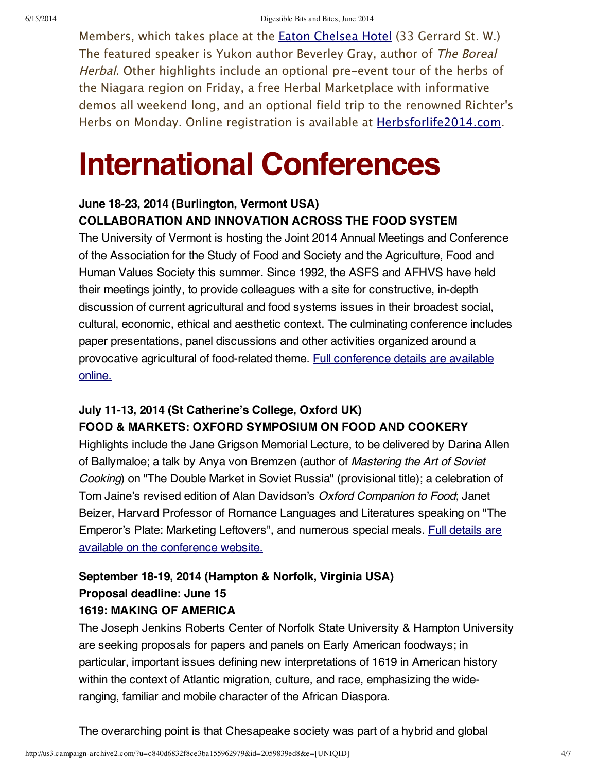Members, which takes place at the **Eaton [Chelsea](http://chelsea.eatonhotels.com/) Hotel** (33 Gerrard St. W.) The featured speaker is Yukon author Beverley Gray, author of The Boreal Herbal. Other highlights include an optional pre-event tour of the herbs of the Niagara region on Friday, a free Herbal Marketplace with informative demos all weekend long, and an optional field trip to the renowned Richter's Herbs on Monday. Online registration is available at **Herbsforlife2014.com**.

# **International Conferences**

### **June 18-23, 2014 (Burlington, Vermont USA) COLLABORATION AND INNOVATION ACROSS THE FOOD SYSTEM**

The University of Vermont is hosting the Joint 2014 Annual Meetings and Conference of the Association for the Study of Food and Society and the Agriculture, Food and Human Values Society this summer. Since 1992, the ASFS and AFHVS have held their meetings jointly, to provide colleagues with a site for constructive, in-depth discussion of current agricultural and food systems issues in their broadest social, cultural, economic, ethical and aesthetic context. The culminating conference includes paper presentations, panel discussions and other activities organized around a provocative agricultural of [food-related](http://www.uvm.edu/conferences/foodsystems/) theme. Full conference details are available online.

### **July 11-13, 2014 (St Catherine's College, Oxford UK) FOOD & MARKETS: OXFORD SYMPOSIUM ON FOOD AND COOKERY**

Highlights include the Jane Grigson Memorial Lecture, to be delivered by Darina Allen of Ballymaloe; a talk by Anya von Bremzen (author of *Mastering the Art of Soviet Cooking*) on "The Double Market in Soviet Russia" (provisional title); a celebration of Tom Jaine's revised edition of Alan Davidson's *Oxford Companion to Food*; Janet Beizer, Harvard Professor of Romance Languages and Literatures speaking on "The Emperor's Plate: Marketing [Leftovers",](http://www.oxfordsymposium.org.uk/) and numerous special meals. Full details are available on the conference website.

# **September 18-19, 2014 (Hampton & Norfolk, Virginia USA) Proposal deadline: June 15**

#### **1619: MAKING OF AMERICA**

The Joseph Jenkins Roberts Center of Norfolk State University & Hampton University are seeking proposals for papers and panels on Early American foodways; in particular, important issues defining new interpretations of 1619 in American history within the context of Atlantic migration, culture, and race, emphasizing the wideranging, familiar and mobile character of the African Diaspora.

The overarching point is that Chesapeake society was part of a hybrid and global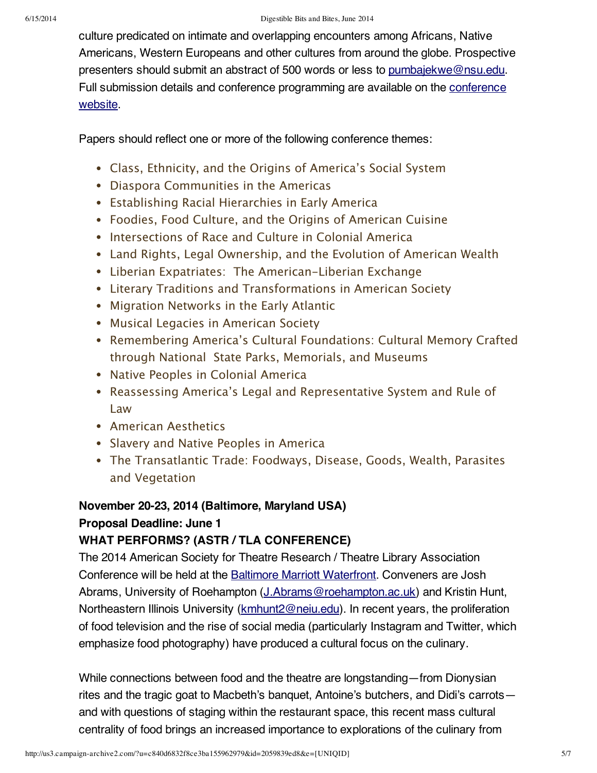culture predicated on intimate and overlapping encounters among Africans, Native Americans, Western Europeans and other cultures from around the globe. Prospective presenters should submit an abstract of 500 words or less to [pumbajekwe@nsu.edu.](mailto:pumbajekwe@nsu.edu) Full submission details and conference [programming](http://www.1619.us/2014-conference/call-for-papers) are available on the conference website.

Papers should reflect one or more of the following conference themes:

- Class, Ethnicity, and the Origins of America's Social System
- Diaspora Communities in the Americas
- Establishing Racial Hierarchies in Early America
- Foodies, Food Culture, and the Origins of American Cuisine
- Intersections of Race and Culture in Colonial America
- Land Rights, Legal Ownership, and the Evolution of American Wealth
- Liberian Expatriates: The American–Liberian Exchange
- Literary Traditions and Transformations in American Society
- Migration Networks in the Early Atlantic
- Musical Legacies in American Society
- Remembering America's Cultural Foundations: Cultural Memory Crafted through National State Parks, Memorials, and Museums
- Native Peoples in Colonial America
- Reassessing America's Legal and Representative System and Rule of Law
- American Aesthetics
- Slavery and Native Peoples in America
- The Transatlantic Trade: Foodways, Disease, Goods, Wealth, Parasites and Vegetation

## **November 20-23, 2014 (Baltimore, Maryland USA)**

#### **Proposal Deadline: June 1**

#### **WHAT PERFORMS? (ASTR / TLA CONFERENCE)**

The 2014 American Society for Theatre Research / Theatre Library Association Conference will be held at the Baltimore Marriott [Waterfront.](http://www.astr.org/?page=14_Hotel) Conveners are Josh Abrams, University of Roehampton [\(J.Abrams@roehampton.ac.uk\)](mailto:J.Abrams@roehampton.ac.uk) and Kristin Hunt, Northeastern Illinois University [\(kmhunt2@neiu.edu](mailto:kmhunt2@neiu.edu)). In recent years, the proliferation of food television and the rise of social media (particularly Instagram and Twitter, which emphasize food photography) have produced a cultural focus on the culinary.

While connections between food and the theatre are longstanding—from Dionysian rites and the tragic goat to Macbeth's banquet, Antoine's butchers, and Didi's carrots and with questions of staging within the restaurant space, this recent mass cultural centrality of food brings an increased importance to explorations of the culinary from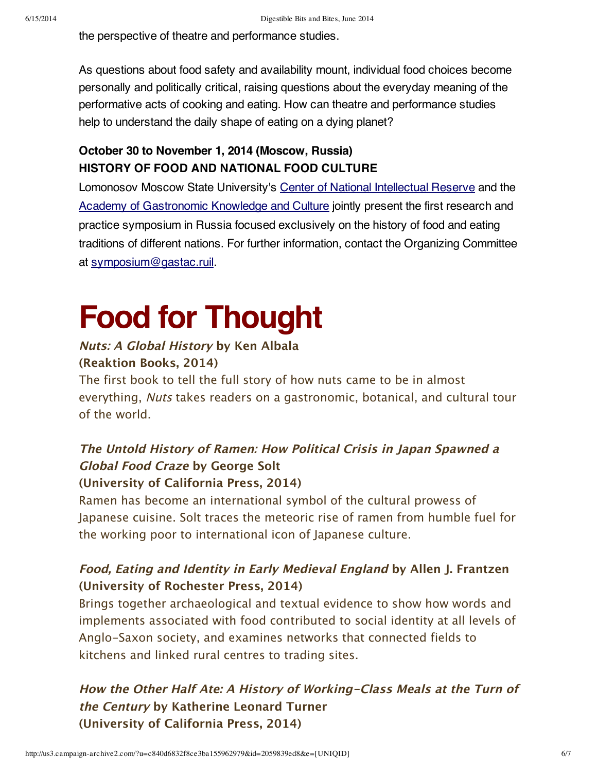the perspective of theatre and performance studies.

As questions about food safety and availability mount, individual food choices become personally and politically critical, raising questions about the everyday meaning of the performative acts of cooking and eating. How can theatre and performance studies help to understand the daily shape of eating on a dying planet?

## **October 30 to November 1, 2014 (Moscow, Russia) HISTORY OF FOOD AND NATIONAL FOOD CULTURE**

Lomonosov Moscow State University's Center of National [Intellectual](http://cnir.msu.ru/) Reserve and the Academy of [Gastronomic](http://www.gastac.ru/) Knowledge and Culture jointly present the first research and practice symposium in Russia focused exclusively on the history of food and eating traditions of different nations. For further information, contact the Organizing Committee at [symposium@gastac.ruil](mailto:symposium@gastac.ru).

# **Food for Thought**

# **Nuts: A Global History by Ken Albala**

#### **(Reaktion Books, 2014)**

The first book to tell the full story of how nuts came to be in almost everything, Nuts takes readers on a gastronomic, botanical, and cultural tour of the world.

### **The Untold History of Ramen: How Political Crisis in Japan Spawned <sup>a</sup> Global Food Craze by George Solt (University of California Press, 2014)**

Ramen has become an international symbol of the cultural prowess of Japanese cuisine. Solt traces the meteoric rise of ramen from humble fuel for the working poor to international icon of Japanese culture.

## **Food, Eating and Identity in Early Medieval England by Allen J. Frantzen (University of Rochester Press, 2014)**

Brings together archaeological and textual evidence to show how words and implements associated with food contributed to social identity at all levels of Anglo‑Saxon society, and examines networks that connected fields to kitchens and linked rural centres to trading sites.

# **How the Other Half Ate: A History of Working‑Class Meals at the Turn of the Century by Katherine Leonard Turner (University of California Press, 2014)**